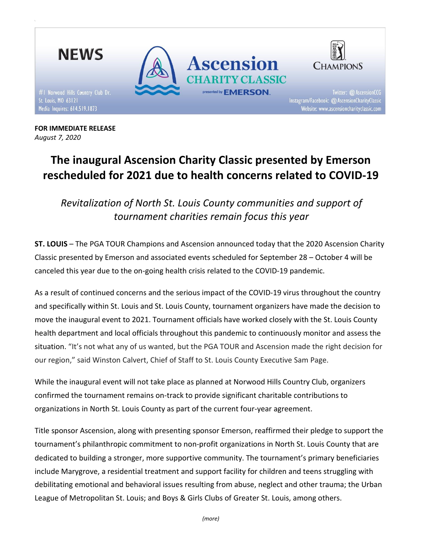

FOR IMMEDIATE RELEASE August 7, 2020

# The inaugural Ascension Charity Classic presented by Emerson rescheduled for 2021 due to health concerns related to COVID-19

Revitalization of North St. Louis County communities and support of tournament charities remain focus this year

ST. LOUIS – The PGA TOUR Champions and Ascension announced today that the 2020 Ascension Charity Classic presented by Emerson and associated events scheduled for September 28 – October 4 will be canceled this year due to the on-going health crisis related to the COVID-19 pandemic.

As a result of continued concerns and the serious impact of the COVID-19 virus throughout the country and specifically within St. Louis and St. Louis County, tournament organizers have made the decision to move the inaugural event to 2021. Tournament officials have worked closely with the St. Louis County health department and local officials throughout this pandemic to continuously monitor and assess the situation. "It's not what any of us wanted, but the PGA TOUR and Ascension made the right decision for our region," said Winston Calvert, Chief of Staff to St. Louis County Executive Sam Page.

While the inaugural event will not take place as planned at Norwood Hills Country Club, organizers confirmed the tournament remains on-track to provide significant charitable contributions to organizations in North St. Louis County as part of the current four-year agreement.

Title sponsor Ascension, along with presenting sponsor Emerson, reaffirmed their pledge to support the tournament's philanthropic commitment to non-profit organizations in North St. Louis County that are dedicated to building a stronger, more supportive community. The tournament's primary beneficiaries include Marygrove, a residential treatment and support facility for children and teens struggling with debilitating emotional and behavioral issues resulting from abuse, neglect and other trauma; the Urban League of Metropolitan St. Louis; and Boys & Girls Clubs of Greater St. Louis, among others.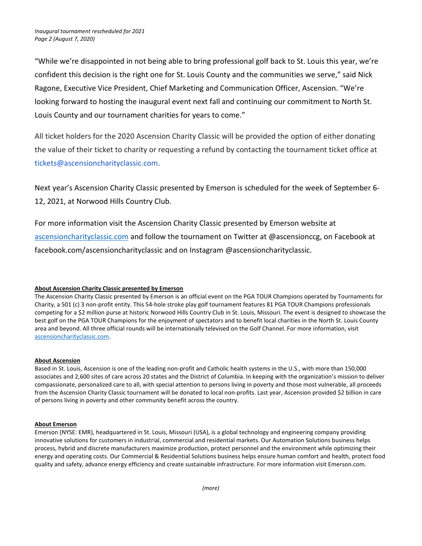"While we're disappointed in not being able to bring professional golf back to St. Louis this year, we're confident this decision is the right one for St. Louis County and the communities we serve," said Nick Ragone, Executive Vice President, Chief Marketing and Communication Officer, Ascension. "We're looking forward to hosting the inaugural event next fall and continuing our commitment to North St. Louis County and our tournament charities for years to come."

All ticket holders for the 2020 Ascension Charity Classic will be provided the option of either donating the value of their ticket to charity or requesting a refund by contacting the tournament ticket office at tickets@ascensioncharityclassic.com.

Next year's Ascension Charity Classic presented by Emerson is scheduled for the week of September 6- 12, 2021, at Norwood Hills Country Club.

For more information visit the Ascension Charity Classic presented by Emerson website at ascensioncharityclassic.com and follow the tournament on Twitter at @ascensionccg, on Facebook at facebook.com/ascensioncharityclassic and on Instagram @ascensioncharityclassic.

## About Ascension Charity Classic presented by Emerson

The Ascension Charity Classic presented by Emerson is an official event on the PGA TOUR Champions operated by Tournaments for Charity, a 501 (c) 3 non-profit entity. This 54-hole stroke play golf tournament features 81 PGA TOUR Champions professionals competing for a \$2 million purse at historic Norwood Hills Country Club in St. Louis, Missouri. The event is designed to showcase the best golf on the PGA TOUR Champions for the enjoyment of spectators and to benefit local charities in the North St. Louis County area and beyond. All three official rounds will be internationally televised on the Golf Channel. For more information, visit ascensioncharityclassic.com.

## About Ascension

Based in St. Louis, Ascension is one of the leading non-profit and Catholic health systems in the U.S., with more than 150,000 associates and 2,600 sites of care across 20 states and the District of Columbia. In keeping with the organization's mission to deliver compassionate, personalized care to all, with special attention to persons living in poverty and those most vulnerable, all proceeds from the Ascension Charity Classic tournament will be donated to local non-profits. Last year, Ascension provided \$2 billion in care of persons living in poverty and other community benefit across the country.

## About Emerson

Emerson (NYSE: EMR), headquartered in St. Louis, Missouri (USA), is a global technology and engineering company providing innovative solutions for customers in industrial, commercial and residential markets. Our Automation Solutions business helps process, hybrid and discrete manufacturers maximize production, protect personnel and the environment while optimizing their energy and operating costs. Our Commercial & Residential Solutions business helps ensure human comfort and health, protect food quality and safety, advance energy efficiency and create sustainable infrastructure. For more information visit Emerson.com.